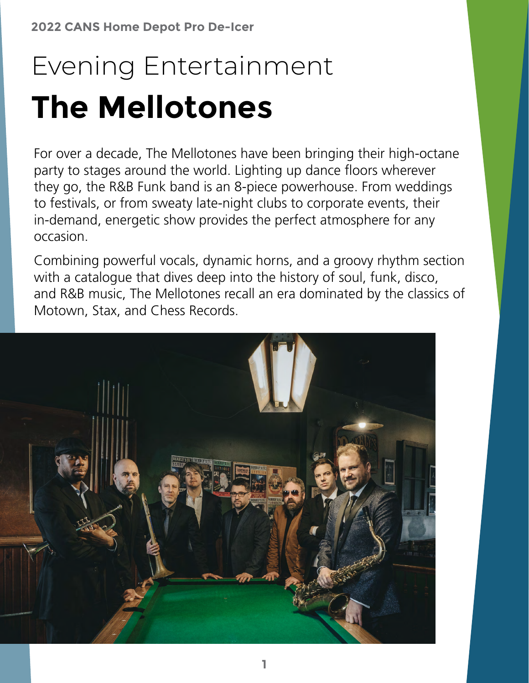## Evening Entertainment **The Mellotones**

For over a decade, The Mellotones have been bringing their high-octane party to stages around the world. Lighting up dance floors wherever they go, the R&B Funk band is an 8-piece powerhouse. From weddings to festivals, or from sweaty late-night clubs to corporate events, their in-demand, energetic show provides the perfect atmosphere for any occasion.

Combining powerful vocals, dynamic horns, and a groovy rhythm section with a catalogue that dives deep into the history of soul, funk, disco, and R&B music, The Mellotones recall an era dominated by the classics of Motown, Stax, and Chess Records.